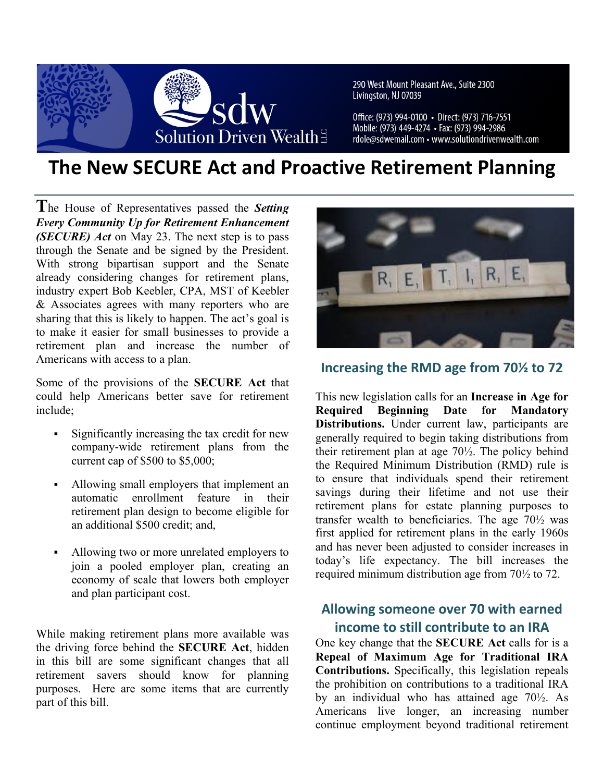

290 West Mount Pleasant Ave., Suite 2300 Livingston, NJ 07039

Office: (973) 994-0100 · Direct: (973) 716-7551 Mobile: (973) 449-4274 • Fax: (973) 994-2986 rdole@sdwemail.com • www.solutiondrivenwealth.com

# **The New SECURE Act and Proactive Retirement Planning**

**T**he House of Representatives passed the *Setting Every Community Up for Retirement Enhancement (SECURE) Act* on May 23. The next step is to pass through the Senate and be signed by the President. With strong bipartisan support and the Senate already considering changes for retirement plans, industry expert Bob Keebler, CPA, MST of Keebler & Associates agrees with many reporters who are sharing that this is likely to happen. The act's goal is to make it easier for small businesses to provide a retirement plan and increase the number of Americans with access to a plan.

Some of the provisions of the **SECURE Act** that could help Americans better save for retirement include;

- Significantly increasing the tax credit for new company-wide retirement plans from the current cap of \$500 to \$5,000;
- § Allowing small employers that implement an automatic enrollment feature in their retirement plan design to become eligible for an additional \$500 credit; and,
- § Allowing two or more unrelated employers to join a pooled employer plan, creating an economy of scale that lowers both employer and plan participant cost.

While making retirement plans more available was the driving force behind the **SECURE Act**, hidden in this bill are some significant changes that all retirement savers should know for planning purposes. Here are some items that are currently part of this bill.



### **Increasing the RMD age from 70½ to 72**

This new legislation calls for an **Increase in Age for Required Beginning Date for Mandatory Distributions.** Under current law, participants are generally required to begin taking distributions from their retirement plan at age 70½. The policy behind the Required Minimum Distribution (RMD) rule is to ensure that individuals spend their retirement savings during their lifetime and not use their retirement plans for estate planning purposes to transfer wealth to beneficiaries. The age 70½ was first applied for retirement plans in the early 1960s and has never been adjusted to consider increases in today's life expectancy. The bill increases the required minimum distribution age from 70½ to 72.

### **Allowing someone over 70 with earned income to still contribute to an IRA**

One key change that the **SECURE Act** calls for is a **Repeal of Maximum Age for Traditional IRA Contributions.** Specifically, this legislation repeals the prohibition on contributions to a traditional IRA by an individual who has attained age 70½. As Americans live longer, an increasing number continue employment beyond traditional retirement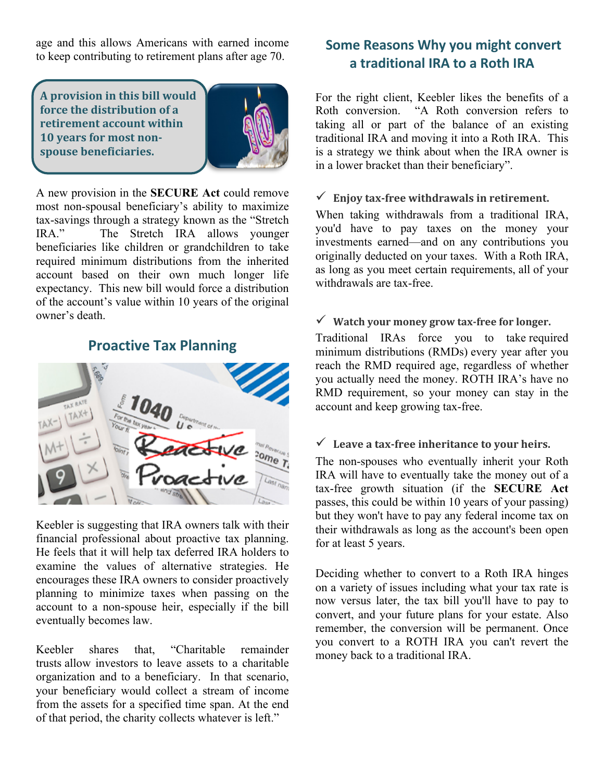age and this allows Americans with earned income to keep contributing to retirement plans after age 70.

**A** provision in this bill would **force the distribution of a retirement account within 10 years for most nonspouse beneficiaries.**



A new provision in the **SECURE Act** could remove most non-spousal beneficiary's ability to maximize tax-savings through a strategy known as the "Stretch IRA." The Stretch IRA allows younger beneficiaries like children or grandchildren to take required minimum distributions from the inherited account based on their own much longer life expectancy. This new bill would force a distribution of the account's value within 10 years of the original owner's death.

### **Proactive Tax Planning**



Keebler is suggesting that IRA owners talk with their financial professional about proactive tax planning. He feels that it will help tax deferred IRA holders to examine the values of alternative strategies. He encourages these IRA owners to consider proactively planning to minimize taxes when passing on the account to a non-spouse heir, especially if the bill eventually becomes law.

Keebler shares that, "Charitable remainder trusts allow investors to leave assets to a charitable organization and to a beneficiary. In that scenario, your beneficiary would collect a stream of income from the assets for a specified time span. At the end of that period, the charity collects whatever is left."

### **Some Reasons Why you might convert a traditional IRA to a Roth IRA**

For the right client, Keebler likes the benefits of a Roth conversion. "A Roth conversion refers to taking all or part of the balance of an existing traditional IRA and moving it into a Roth IRA. This is a strategy we think about when the IRA owner is in a lower bracket than their beneficiary".

#### $\checkmark$  Enjoy tax-free withdrawals in retirement.

When taking withdrawals from a traditional IRA, you'd have to pay taxes on the money your investments earned—and on any contributions you originally deducted on your taxes. With a Roth IRA, as long as you meet certain requirements, all of your withdrawals are tax-free.

#### $\checkmark$  Watch your money grow tax-free for longer.

Traditional IRAs force you to take required minimum distributions (RMDs) every year after you reach the RMD required age, regardless of whether you actually need the money. ROTH IRA's have no RMD requirement, so your money can stay in the account and keep growing tax-free.

#### $\checkmark$  Leave a tax-free inheritance to your heirs.

The non-spouses who eventually inherit your Roth IRA will have to eventually take the money out of a tax-free growth situation (if the **SECURE Act** passes, this could be within 10 years of your passing) but they won't have to pay any federal income tax on their withdrawals as long as the account's been open for at least 5 years.

Deciding whether to convert to a Roth IRA hinges on a variety of issues including what your tax rate is now versus later, the tax bill you'll have to pay to convert, and your future plans for your estate. Also remember, the conversion will be permanent. Once you convert to a ROTH IRA you can't revert the money back to a traditional IRA.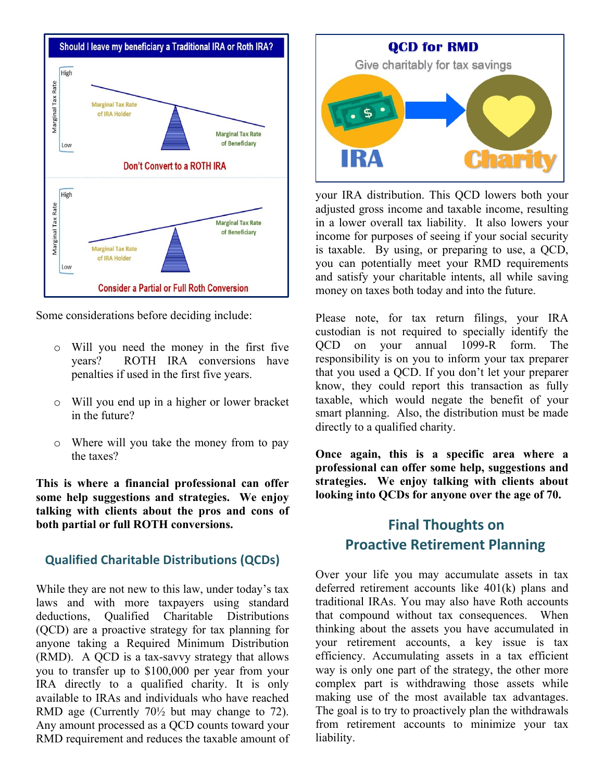

Some considerations before deciding include:

- o Will you need the money in the first five years? ROTH IRA conversions have penalties if used in the first five years.
- o Will you end up in a higher or lower bracket in the future?
- o Where will you take the money from to pay the taxes?

**This is where a financial professional can offer some help suggestions and strategies. We enjoy talking with clients about the pros and cons of both partial or full ROTH conversions.**

#### **Qualified Charitable Distributions (QCDs)**

While they are not new to this law, under today's tax laws and with more taxpayers using standard deductions, Qualified Charitable Distributions (QCD) are a proactive strategy for tax planning for anyone taking a Required Minimum Distribution (RMD). A QCD is a tax-savvy strategy that allows you to transfer up to \$100,000 per year from your IRA directly to a qualified charity. It is only available to IRAs and individuals who have reached RMD age (Currently 70½ but may change to 72). Any amount processed as a QCD counts toward your RMD requirement and reduces the taxable amount of



your IRA distribution. This QCD lowers both your adjusted gross income and taxable income, resulting in a lower overall tax liability. It also lowers your income for purposes of seeing if your social security is taxable. By using, or preparing to use, a QCD, you can potentially meet your RMD requirements and satisfy your charitable intents, all while saving money on taxes both today and into the future.

Please note, for tax return filings, your IRA custodian is not required to specially identify the QCD on your annual 1099-R form. The responsibility is on you to inform your tax preparer that you used a QCD. If you don't let your preparer know, they could report this transaction as fully taxable, which would negate the benefit of your smart planning. Also, the distribution must be made directly to a qualified charity.

**Once again, this is a specific area where a professional can offer some help, suggestions and strategies. We enjoy talking with clients about looking into QCDs for anyone over the age of 70.**

## **Final Thoughts on Proactive Retirement Planning**

Over your life you may accumulate assets in tax deferred retirement accounts like 401(k) plans and traditional IRAs. You may also have Roth accounts that compound without tax consequences. When thinking about the assets you have accumulated in your retirement accounts, a key issue is tax efficiency. Accumulating assets in a tax efficient way is only one part of the strategy, the other more complex part is withdrawing those assets while making use of the most available tax advantages. The goal is to try to proactively plan the withdrawals from retirement accounts to minimize your tax liability.